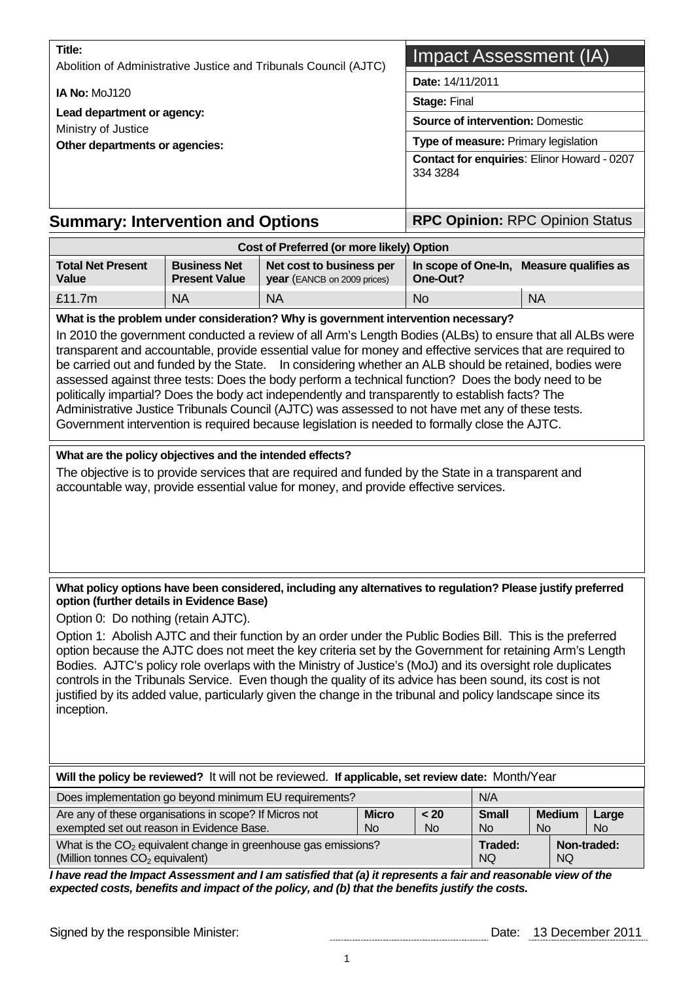| Title:<br>Abolition of Administrative Justice and Tribunals Council (AJTC) | Impact Assessment (IA)<br>Date: 14/11/2011<br><b>Stage: Final</b>               |  |  |  |  |  |  |
|----------------------------------------------------------------------------|---------------------------------------------------------------------------------|--|--|--|--|--|--|
| <b>IA No: MoJ120</b><br>Lead department or agency:<br>Ministry of Justice  |                                                                                 |  |  |  |  |  |  |
|                                                                            | <b>Source of intervention: Domestic</b><br>Type of measure: Primary legislation |  |  |  |  |  |  |
| Other departments or agencies:                                             | <b>Contact for enquiries: Elinor Howard - 0207</b><br>334 3284                  |  |  |  |  |  |  |
| <b>Summary: Intervention and Options</b>                                   | <b>RPC Opinion: RPC Opinion Status</b>                                          |  |  |  |  |  |  |
| Cost of Preferred (or more likely) Option                                  |                                                                                 |  |  |  |  |  |  |

| <b>Total Net Present</b><br>Value                                                                                                                                                                                                                                                                            | <b>Business Net</b><br><b>Present Value</b> | Net cost to business per<br>year (EANCB on 2009 prices)                                                                                                                                                     | One-Out? | In scope of One-In, Measure qualifies as |  |  |  |  |
|--------------------------------------------------------------------------------------------------------------------------------------------------------------------------------------------------------------------------------------------------------------------------------------------------------------|---------------------------------------------|-------------------------------------------------------------------------------------------------------------------------------------------------------------------------------------------------------------|----------|------------------------------------------|--|--|--|--|
| £11.7m                                                                                                                                                                                                                                                                                                       | ΝA                                          | <b>NA</b>                                                                                                                                                                                                   | No       | ΝA                                       |  |  |  |  |
| What is the problem under consideration? Why is government intervention necessary?<br>In 2010 the government conducted a review of all Arm's Length Bodies (ALBs) to ensure that all ALBs were<br>transparent and accountable, provide essential value for money and effective services that are required to |                                             |                                                                                                                                                                                                             |          |                                          |  |  |  |  |
|                                                                                                                                                                                                                                                                                                              |                                             | be carried out and funded by the State. In considering whether an ALB should be retained, bodies were<br>assessed against three tests: Does the body perform a technical function? Does the body need to be |          |                                          |  |  |  |  |

politically impartial? Does the body act independently and transparently to establish facts? The Administrative Justice Tribunals Council (AJTC) was assessed to not have met any of these tests. Government intervention is required because legislation is needed to formally close the AJTC.

#### **What are the policy objectives and the intended effects?**

The objective is to provide services that are required and funded by the State in a transparent and accountable way, provide essential value for money, and provide effective services.

#### **What policy options have been considered, including any alternatives to regulation? Please justify preferred option (further details in Evidence Base)**

Option 0: Do nothing (retain AJTC).

Option 1: Abolish AJTC and their function by an order under the Public Bodies Bill. This is the preferred option because the AJTC does not meet the key criteria set by the Government for retaining Arm's Length Bodies. AJTC's policy role overlaps with the Ministry of Justice's (MoJ) and its oversight role duplicates controls in the Tribunals Service. Even though the quality of its advice has been sound, its cost is not justified by its added value, particularly given the change in the tribunal and policy landscape since its inception.

| Will the policy be reviewed? It will not be reviewed. If applicable, set review date: Month/Year                |                           |                        |                                                                   |  |                    |  |  |  |
|-----------------------------------------------------------------------------------------------------------------|---------------------------|------------------------|-------------------------------------------------------------------|--|--------------------|--|--|--|
| Does implementation go beyond minimum EU requirements?                                                          | N/A                       |                        |                                                                   |  |                    |  |  |  |
| Are any of these organisations in scope? If Micros not<br>exempted set out reason in Evidence Base.             | <b>Micro</b><br><b>No</b> | < 20<br>N <sub>o</sub> | <b>Small</b><br><b>Medium</b><br>N <sub>o</sub><br>N <sub>o</sub> |  | Large<br><b>No</b> |  |  |  |
| What is the $CO2$ equivalent change in greenhouse gas emissions?<br>(Million tonnes CO <sub>2</sub> equivalent) | Traded:<br><b>NQ</b>      | NQ.                    | Non-traded:                                                       |  |                    |  |  |  |

*I have read the Impact Assessment and I am satisfied that (a) it represents a fair and reasonable view of the expected costs, benefits and impact of the policy, and (b) that the benefits justify the costs.*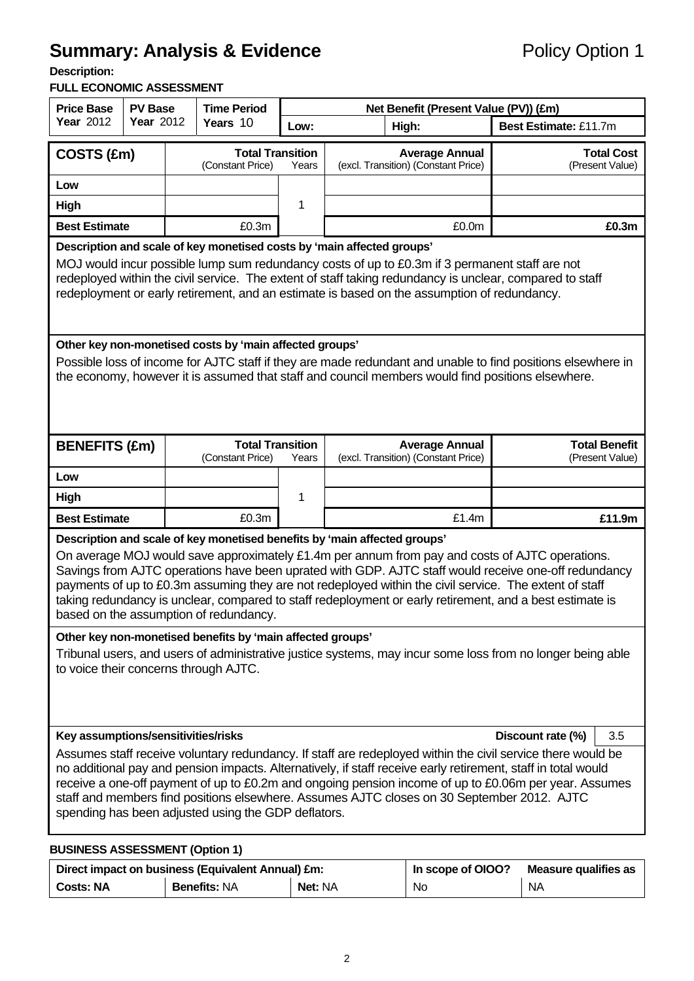# **Summary: Analysis & Evidence Policy Option 1**

**Description:** 

#### **FULL ECONOMIC ASSESSMENT**

| <b>Price Base</b><br><b>PV Base</b>                                                                                                                                                                                                                                                                                                                                                                                                                                                                                                                                                                                                                                                                                                                                      |                  | <b>Time Period</b> |                                                   |       | Net Benefit (Present Value (PV)) (£m)                        |                                                              |                                         |                                      |  |  |
|--------------------------------------------------------------------------------------------------------------------------------------------------------------------------------------------------------------------------------------------------------------------------------------------------------------------------------------------------------------------------------------------------------------------------------------------------------------------------------------------------------------------------------------------------------------------------------------------------------------------------------------------------------------------------------------------------------------------------------------------------------------------------|------------------|--------------------|---------------------------------------------------|-------|--------------------------------------------------------------|--------------------------------------------------------------|-----------------------------------------|--------------------------------------|--|--|
| <b>Year 2012</b>                                                                                                                                                                                                                                                                                                                                                                                                                                                                                                                                                                                                                                                                                                                                                         | <b>Year 2012</b> |                    | Years 10                                          | Low:  | High:                                                        |                                                              | Best Estimate: £11.7m                   |                                      |  |  |
| COSTS (£m)                                                                                                                                                                                                                                                                                                                                                                                                                                                                                                                                                                                                                                                                                                                                                               |                  |                    | <b>Total Transition</b><br>(Constant Price)       | Years | <b>Average Annual</b><br>(excl. Transition) (Constant Price) |                                                              |                                         | <b>Total Cost</b><br>(Present Value) |  |  |
| Low                                                                                                                                                                                                                                                                                                                                                                                                                                                                                                                                                                                                                                                                                                                                                                      |                  |                    |                                                   |       |                                                              |                                                              |                                         |                                      |  |  |
| <b>High</b>                                                                                                                                                                                                                                                                                                                                                                                                                                                                                                                                                                                                                                                                                                                                                              |                  |                    |                                                   | 1     |                                                              |                                                              |                                         |                                      |  |  |
| <b>Best Estimate</b>                                                                                                                                                                                                                                                                                                                                                                                                                                                                                                                                                                                                                                                                                                                                                     |                  |                    | £0.3m                                             |       |                                                              | £0.0m                                                        |                                         | £0.3m                                |  |  |
| Description and scale of key monetised costs by 'main affected groups'<br>MOJ would incur possible lump sum redundancy costs of up to £0.3m if 3 permanent staff are not<br>redeployed within the civil service. The extent of staff taking redundancy is unclear, compared to staff<br>redeployment or early retirement, and an estimate is based on the assumption of redundancy.                                                                                                                                                                                                                                                                                                                                                                                      |                  |                    |                                                   |       |                                                              |                                                              |                                         |                                      |  |  |
| Other key non-monetised costs by 'main affected groups'<br>Possible loss of income for AJTC staff if they are made redundant and unable to find positions elsewhere in<br>the economy, however it is assumed that staff and council members would find positions elsewhere.                                                                                                                                                                                                                                                                                                                                                                                                                                                                                              |                  |                    |                                                   |       |                                                              |                                                              |                                         |                                      |  |  |
| <b>BENEFITS (£m)</b>                                                                                                                                                                                                                                                                                                                                                                                                                                                                                                                                                                                                                                                                                                                                                     |                  |                    | <b>Total Transition</b><br>(Constant Price)       | Years |                                                              | <b>Average Annual</b><br>(excl. Transition) (Constant Price) | <b>Total Benefit</b><br>(Present Value) |                                      |  |  |
| Low                                                                                                                                                                                                                                                                                                                                                                                                                                                                                                                                                                                                                                                                                                                                                                      |                  |                    |                                                   |       |                                                              |                                                              |                                         |                                      |  |  |
| High                                                                                                                                                                                                                                                                                                                                                                                                                                                                                                                                                                                                                                                                                                                                                                     |                  |                    |                                                   | 1     |                                                              |                                                              |                                         |                                      |  |  |
| <b>Best Estimate</b>                                                                                                                                                                                                                                                                                                                                                                                                                                                                                                                                                                                                                                                                                                                                                     |                  |                    | £0.3m                                             |       |                                                              | £1.4m                                                        |                                         | £11.9m                               |  |  |
| Description and scale of key monetised benefits by 'main affected groups'<br>On average MOJ would save approximately £1.4m per annum from pay and costs of AJTC operations.<br>Savings from AJTC operations have been uprated with GDP. AJTC staff would receive one-off redundancy<br>payments of up to £0.3m assuming they are not redeployed within the civil service. The extent of staff<br>taking redundancy is unclear, compared to staff redeployment or early retirement, and a best estimate is<br>based on the assumption of redundancy.<br>Other key non-monetised benefits by 'main affected groups'<br>Tribunal users, and users of administrative justice systems, may incur some loss from no longer being able<br>to voice their concerns through AJTC. |                  |                    |                                                   |       |                                                              |                                                              |                                         |                                      |  |  |
| Key assumptions/sensitivities/risks<br>Discount rate (%)<br>3.5<br>Assumes staff receive voluntary redundancy. If staff are redeployed within the civil service there would be<br>no additional pay and pension impacts. Alternatively, if staff receive early retirement, staff in total would<br>receive a one-off payment of up to £0.2m and ongoing pension income of up to £0.06m per year. Assumes<br>staff and members find positions elsewhere. Assumes AJTC closes on 30 September 2012. AJTC<br>spending has been adjusted using the GDP deflators.                                                                                                                                                                                                            |                  |                    |                                                   |       |                                                              |                                                              |                                         |                                      |  |  |
| <b>BUSINESS ASSESSMENT (Option 1)</b>                                                                                                                                                                                                                                                                                                                                                                                                                                                                                                                                                                                                                                                                                                                                    |                  |                    |                                                   |       |                                                              |                                                              |                                         |                                      |  |  |
|                                                                                                                                                                                                                                                                                                                                                                                                                                                                                                                                                                                                                                                                                                                                                                          |                  |                    | Direct impact on business (Equivalent Annual) £m. |       |                                                              |                                                              | In scene of OIOO? Mossure qualifies as  |                                      |  |  |

|                  | Direct impact on business (Equivalent Annual) £m: | In scope of OIOO? | Measure qualifies as |           |
|------------------|---------------------------------------------------|-------------------|----------------------|-----------|
| <b>Costs: NA</b> | <b>Benefits: NA</b>                               | <b>Net: NA</b>    | No                   | <b>NA</b> |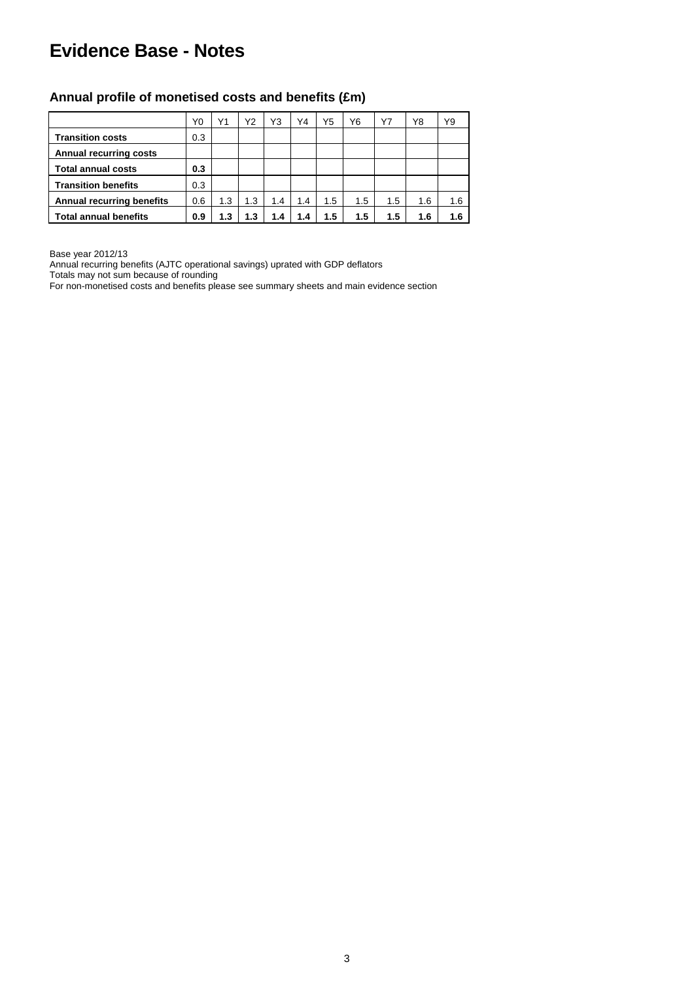## **Evidence Base - Notes**

### **Annual profile of monetised costs and benefits (£m)**

|                                  | Y0  | Y1  | Υ2  | Y3            | Y4  | Y5  | Y6  | Υ7  | Y8  | Y9  |
|----------------------------------|-----|-----|-----|---------------|-----|-----|-----|-----|-----|-----|
| <b>Transition costs</b>          | 0.3 |     |     |               |     |     |     |     |     |     |
| <b>Annual recurring costs</b>    |     |     |     |               |     |     |     |     |     |     |
| <b>Total annual costs</b>        | 0.3 |     |     |               |     |     |     |     |     |     |
| <b>Transition benefits</b>       | 0.3 |     |     |               |     |     |     |     |     |     |
| <b>Annual recurring benefits</b> | 0.6 | 1.3 | 1.3 | 1.4           | 1.4 | 1.5 | 1.5 | 1.5 | 1.6 | 1.6 |
| <b>Total annual benefits</b>     | 0.9 | 1.3 | 1.3 | $1.4^{\circ}$ | 1.4 | 1.5 | 1.5 | 1.5 | 1.6 | 1.6 |

Base year 2012/13

Annual recurring benefits (AJTC operational savings) uprated with GDP deflators

Totals may not sum because of rounding

For non-monetised costs and benefits please see summary sheets and main evidence section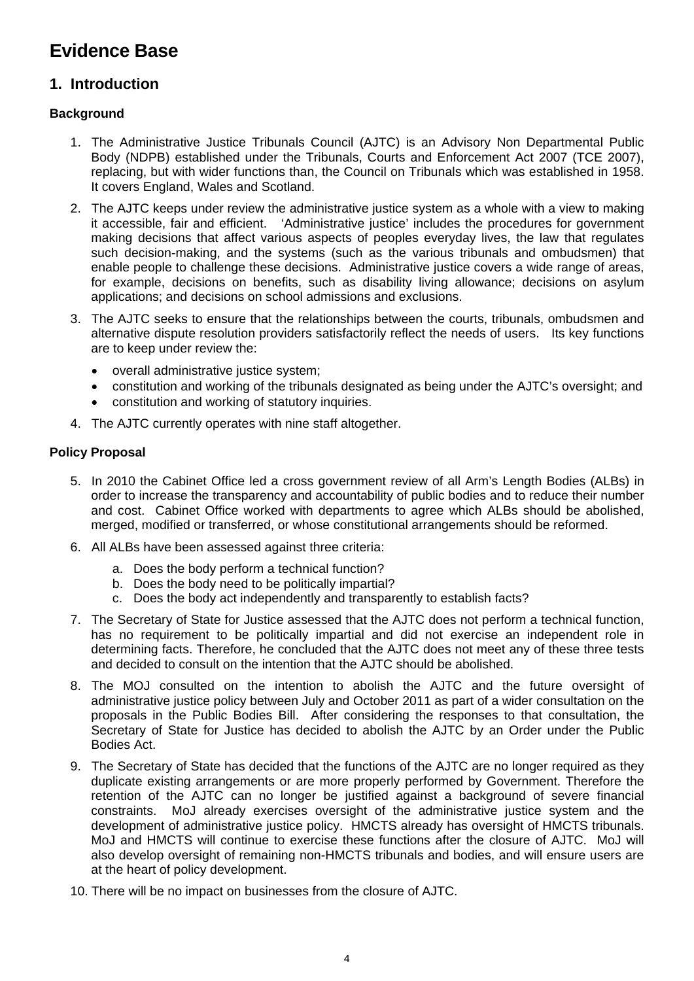## **Evidence Base**

## **1. Introduction**

### **Background**

- 1. The Administrative Justice Tribunals Council (AJTC) is an Advisory Non Departmental Public Body (NDPB) established under the Tribunals, Courts and Enforcement Act 2007 (TCE 2007), replacing, but with wider functions than, the Council on Tribunals which was established in 1958. It covers England, Wales and Scotland.
- 2. The AJTC keeps under review the administrative justice system as a whole with a view to making it accessible, fair and efficient. 'Administrative justice' includes the procedures for government making decisions that affect various aspects of peoples everyday lives, the law that regulates such decision-making, and the systems (such as the various tribunals and ombudsmen) that enable people to challenge these decisions. Administrative justice covers a wide range of areas, for example, decisions on benefits, such as disability living allowance; decisions on asylum applications; and decisions on school admissions and exclusions.
- 3. The AJTC seeks to ensure that the relationships between the courts, tribunals, ombudsmen and alternative dispute resolution providers satisfactorily reflect the needs of users. Its key functions are to keep under review the:
	- overall administrative justice system;
	- constitution and working of the tribunals designated as being under the AJTC's oversight; and
	- constitution and working of statutory inquiries.
- 4. The AJTC currently operates with nine staff altogether.

### **Policy Proposal**

- 5. In 2010 the Cabinet Office led a cross government review of all Arm's Length Bodies (ALBs) in order to increase the transparency and accountability of public bodies and to reduce their number and cost. Cabinet Office worked with departments to agree which ALBs should be abolished, merged, modified or transferred, or whose constitutional arrangements should be reformed.
- 6. All ALBs have been assessed against three criteria:
	- a. Does the body perform a technical function?
	- b. Does the body need to be politically impartial?
	- c. Does the body act independently and transparently to establish facts?
- 7. The Secretary of State for Justice assessed that the AJTC does not perform a technical function, has no requirement to be politically impartial and did not exercise an independent role in determining facts. Therefore, he concluded that the AJTC does not meet any of these three tests and decided to consult on the intention that the AJTC should be abolished.
- 8. The MOJ consulted on the intention to abolish the AJTC and the future oversight of administrative justice policy between July and October 2011 as part of a wider consultation on the proposals in the Public Bodies Bill. After considering the responses to that consultation, the Secretary of State for Justice has decided to abolish the AJTC by an Order under the Public Bodies Act.
- 9. The Secretary of State has decided that the functions of the AJTC are no longer required as they duplicate existing arrangements or are more properly performed by Government. Therefore the retention of the AJTC can no longer be justified against a background of severe financial constraints. MoJ already exercises oversight of the administrative justice system and the development of administrative justice policy. HMCTS already has oversight of HMCTS tribunals. MoJ and HMCTS will continue to exercise these functions after the closure of AJTC. MoJ will also develop oversight of remaining non-HMCTS tribunals and bodies, and will ensure users are at the heart of policy development.
- 10. There will be no impact on businesses from the closure of AJTC.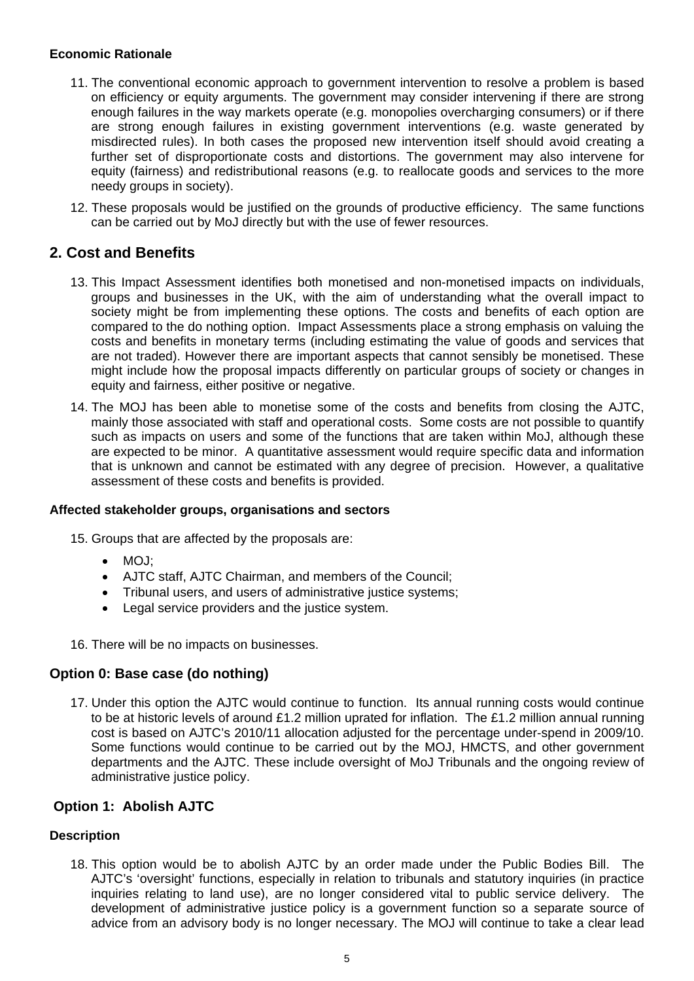#### **Economic Rationale**

- 11. The conventional economic approach to government intervention to resolve a problem is based on efficiency or equity arguments. The government may consider intervening if there are strong enough failures in the way markets operate (e.g. monopolies overcharging consumers) or if there are strong enough failures in existing government interventions (e.g. waste generated by misdirected rules). In both cases the proposed new intervention itself should avoid creating a further set of disproportionate costs and distortions. The government may also intervene for equity (fairness) and redistributional reasons (e.g. to reallocate goods and services to the more needy groups in society).
- 12. These proposals would be justified on the grounds of productive efficiency. The same functions can be carried out by MoJ directly but with the use of fewer resources.

## **2. Cost and Benefits**

- 13. This Impact Assessment identifies both monetised and non-monetised impacts on individuals, groups and businesses in the UK, with the aim of understanding what the overall impact to society might be from implementing these options. The costs and benefits of each option are compared to the do nothing option. Impact Assessments place a strong emphasis on valuing the costs and benefits in monetary terms (including estimating the value of goods and services that are not traded). However there are important aspects that cannot sensibly be monetised. These might include how the proposal impacts differently on particular groups of society or changes in equity and fairness, either positive or negative.
- 14. The MOJ has been able to monetise some of the costs and benefits from closing the AJTC, mainly those associated with staff and operational costs. Some costs are not possible to quantify such as impacts on users and some of the functions that are taken within MoJ, although these are expected to be minor. A quantitative assessment would require specific data and information that is unknown and cannot be estimated with any degree of precision. However, a qualitative assessment of these costs and benefits is provided.

#### **Affected stakeholder groups, organisations and sectors**

15. Groups that are affected by the proposals are:

- MOJ;
- AJTC staff, AJTC Chairman, and members of the Council;
- Tribunal users, and users of administrative justice systems;
- Legal service providers and the justice system.
- 16. There will be no impacts on businesses.

#### **Option 0: Base case (do nothing)**

17. Under this option the AJTC would continue to function. Its annual running costs would continue to be at historic levels of around £1.2 million uprated for inflation. The £1.2 million annual running cost is based on AJTC's 2010/11 allocation adjusted for the percentage under-spend in 2009/10. Some functions would continue to be carried out by the MOJ, HMCTS, and other government departments and the AJTC. These include oversight of MoJ Tribunals and the ongoing review of administrative justice policy.

#### **Option 1: Abolish AJTC**

#### **Description**

18. This option would be to abolish AJTC by an order made under the Public Bodies Bill. The AJTC's 'oversight' functions, especially in relation to tribunals and statutory inquiries (in practice inquiries relating to land use), are no longer considered vital to public service delivery. The development of administrative justice policy is a government function so a separate source of advice from an advisory body is no longer necessary. The MOJ will continue to take a clear lead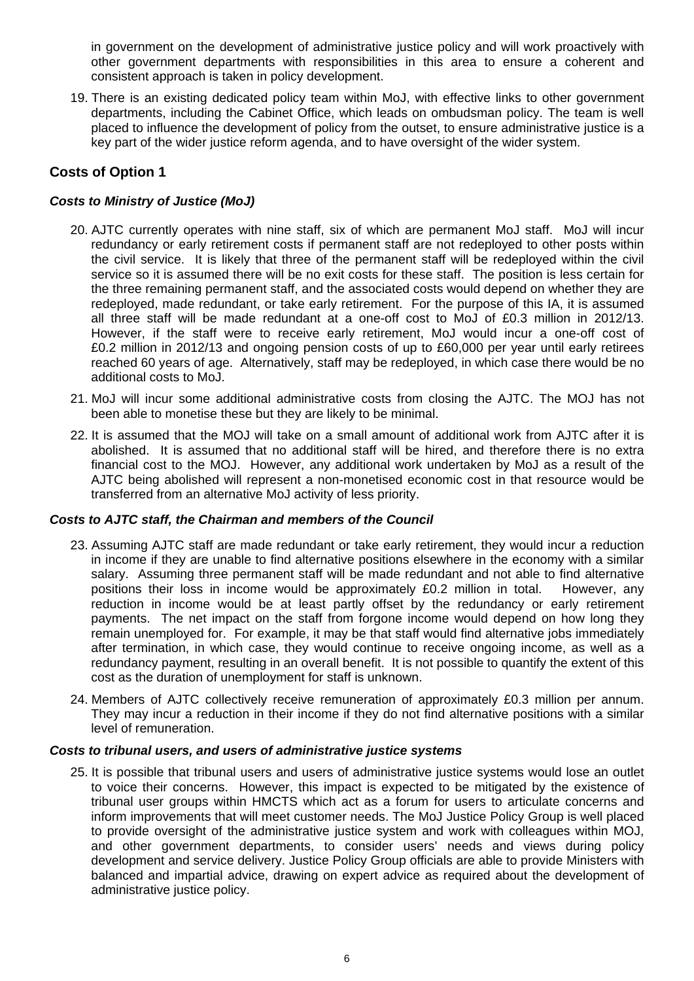in government on the development of administrative justice policy and will work proactively with other government departments with responsibilities in this area to ensure a coherent and consistent approach is taken in policy development.

19. There is an existing dedicated policy team within MoJ, with effective links to other government departments, including the Cabinet Office, which leads on ombudsman policy. The team is well placed to influence the development of policy from the outset, to ensure administrative justice is a key part of the wider justice reform agenda, and to have oversight of the wider system.

## **Costs of Option 1**

#### *Costs to Ministry of Justice (MoJ)*

- 20. AJTC currently operates with nine staff, six of which are permanent MoJ staff. MoJ will incur redundancy or early retirement costs if permanent staff are not redeployed to other posts within the civil service. It is likely that three of the permanent staff will be redeployed within the civil service so it is assumed there will be no exit costs for these staff. The position is less certain for the three remaining permanent staff, and the associated costs would depend on whether they are redeployed, made redundant, or take early retirement. For the purpose of this IA, it is assumed all three staff will be made redundant at a one-off cost to MoJ of £0.3 million in 2012/13. However, if the staff were to receive early retirement, MoJ would incur a one-off cost of £0.2 million in 2012/13 and ongoing pension costs of up to £60,000 per year until early retirees reached 60 years of age. Alternatively, staff may be redeployed, in which case there would be no additional costs to MoJ.
- 21. MoJ will incur some additional administrative costs from closing the AJTC. The MOJ has not been able to monetise these but they are likely to be minimal.
- 22. It is assumed that the MOJ will take on a small amount of additional work from AJTC after it is abolished. It is assumed that no additional staff will be hired, and therefore there is no extra financial cost to the MOJ. However, any additional work undertaken by MoJ as a result of the AJTC being abolished will represent a non-monetised economic cost in that resource would be transferred from an alternative MoJ activity of less priority.

#### *Costs to AJTC staff, the Chairman and members of the Council*

- 23. Assuming AJTC staff are made redundant or take early retirement, they would incur a reduction in income if they are unable to find alternative positions elsewhere in the economy with a similar salary. Assuming three permanent staff will be made redundant and not able to find alternative positions their loss in income would be approximately £0.2 million in total. However, any reduction in income would be at least partly offset by the redundancy or early retirement payments. The net impact on the staff from forgone income would depend on how long they remain unemployed for. For example, it may be that staff would find alternative jobs immediately after termination, in which case, they would continue to receive ongoing income, as well as a redundancy payment, resulting in an overall benefit. It is not possible to quantify the extent of this cost as the duration of unemployment for staff is unknown.
- 24. Members of AJTC collectively receive remuneration of approximately £0.3 million per annum. They may incur a reduction in their income if they do not find alternative positions with a similar level of remuneration.

#### *Costs to tribunal users, and users of administrative justice systems*

25. It is possible that tribunal users and users of administrative justice systems would lose an outlet to voice their concerns. However, this impact is expected to be mitigated by the existence of tribunal user groups within HMCTS which act as a forum for users to articulate concerns and inform improvements that will meet customer needs. The MoJ Justice Policy Group is well placed to provide oversight of the administrative justice system and work with colleagues within MOJ, and other government departments, to consider users' needs and views during policy development and service delivery. Justice Policy Group officials are able to provide Ministers with balanced and impartial advice, drawing on expert advice as required about the development of administrative justice policy.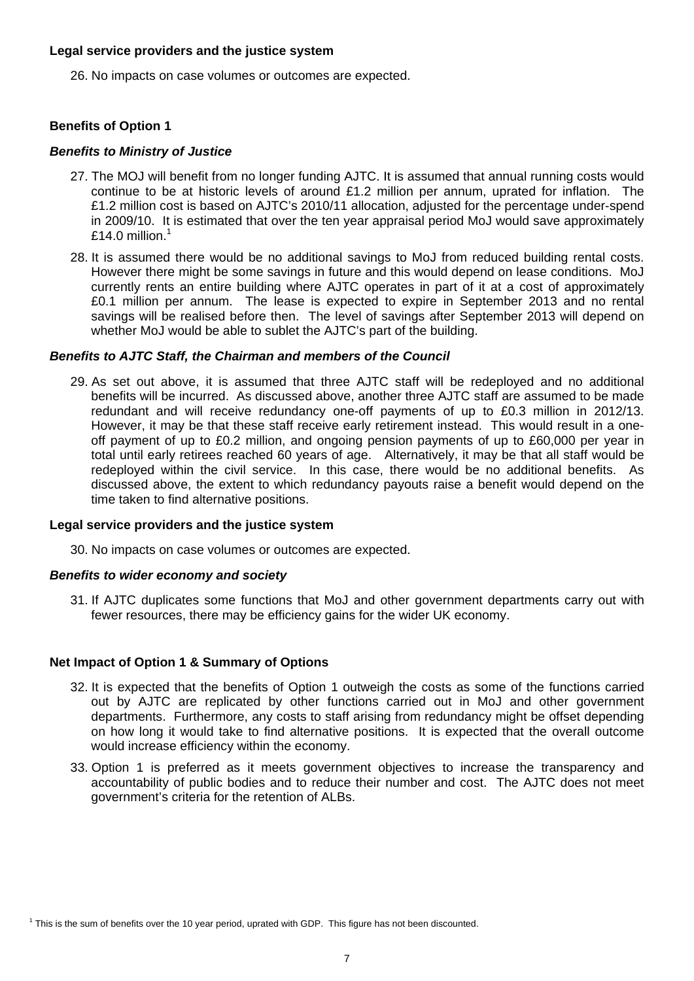#### **Legal service providers and the justice system**

26. No impacts on case volumes or outcomes are expected.

#### **Benefits of Option 1**

#### *Benefits to Ministry of Justice*

- 27. The MOJ will benefit from no longer funding AJTC. It is assumed that annual running costs would continue to be at historic levels of around  $£1.2$  million per annum, uprated for inflation. The £1.2 million cost is based on AJTC's 2010/11 allocation, adjusted for the percentage under-spend in 2009/10. It is estimated that over the ten year appraisal period MoJ would save approximately £14.0 million. $1$
- 28. It is assumed there would be no additional savings to MoJ from reduced building rental costs. However there might be some savings in future and this would depend on lease conditions. MoJ currently rents an entire building where AJTC operates in part of it at a cost of approximately £0.1 million per annum. The lease is expected to expire in September 2013 and no rental savings will be realised before then. The level of savings after September 2013 will depend on whether MoJ would be able to sublet the AJTC's part of the building.

#### *Benefits to AJTC Staff, the Chairman and members of the Council*

29. As set out above, it is assumed that three AJTC staff will be redeployed and no additional benefits will be incurred. As discussed above, another three AJTC staff are assumed to be made redundant and will receive redundancy one-off payments of up to £0.3 million in 2012/13. However, it may be that these staff receive early retirement instead. This would result in a oneoff payment of up to £0.2 million, and ongoing pension payments of up to £60,000 per year in total until early retirees reached 60 years of age. Alternatively, it may be that all staff would be redeployed within the civil service. In this case, there would be no additional benefits. As discussed above, the extent to which redundancy payouts raise a benefit would depend on the time taken to find alternative positions.

#### **Legal service providers and the justice system**

30. No impacts on case volumes or outcomes are expected.

#### *Benefits to wider economy and society*

31. If AJTC duplicates some functions that MoJ and other government departments carry out with fewer resources, there may be efficiency gains for the wider UK economy.

#### **Net Impact of Option 1 & Summary of Options**

- 32. It is expected that the benefits of Option 1 outweigh the costs as some of the functions carried out by AJTC are replicated by other functions carried out in MoJ and other government departments. Furthermore, any costs to staff arising from redundancy might be offset depending on how long it would take to find alternative positions. It is expected that the overall outcome would increase efficiency within the economy.
- 33. Option 1 is preferred as it meets government objectives to increase the transparency and accountability of public bodies and to reduce their number and cost. The AJTC does not meet government's criteria for the retention of ALBs.

<sup>&</sup>lt;sup>1</sup> This is the sum of benefits over the 10 year period, uprated with GDP. This figure has not been discounted.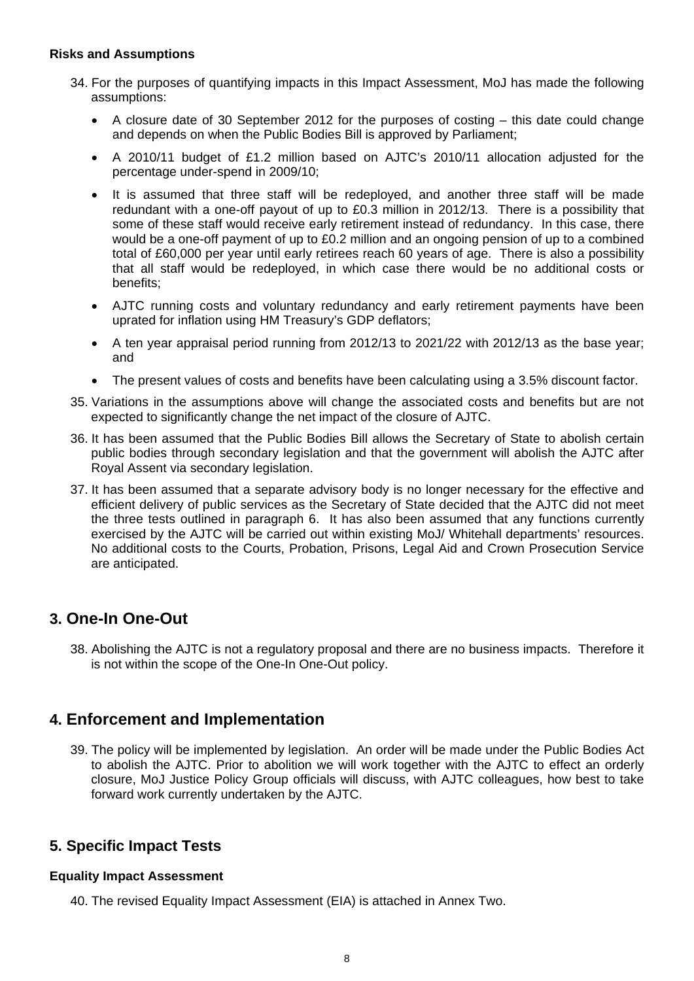#### **Risks and Assumptions**

- 34. For the purposes of quantifying impacts in this Impact Assessment, MoJ has made the following assumptions:
	- A closure date of 30 September 2012 for the purposes of costing this date could change and depends on when the Public Bodies Bill is approved by Parliament;
	- A 2010/11 budget of £1.2 million based on AJTC's 2010/11 allocation adjusted for the percentage under-spend in 2009/10;
	- It is assumed that three staff will be redeployed, and another three staff will be made redundant with a one-off payout of up to £0.3 million in 2012/13. There is a possibility that some of these staff would receive early retirement instead of redundancy. In this case, there would be a one-off payment of up to £0.2 million and an ongoing pension of up to a combined total of £60,000 per year until early retirees reach 60 years of age. There is also a possibility that all staff would be redeployed, in which case there would be no additional costs or benefits;
	- AJTC running costs and voluntary redundancy and early retirement payments have been uprated for inflation using HM Treasury's GDP deflators;
	- A ten year appraisal period running from 2012/13 to 2021/22 with 2012/13 as the base year; and
	- The present values of costs and benefits have been calculating using a 3.5% discount factor.
- 35. Variations in the assumptions above will change the associated costs and benefits but are not expected to significantly change the net impact of the closure of AJTC.
- 36. It has been assumed that the Public Bodies Bill allows the Secretary of State to abolish certain public bodies through secondary legislation and that the government will abolish the AJTC after Royal Assent via secondary legislation.
- 37. It has been assumed that a separate advisory body is no longer necessary for the effective and efficient delivery of public services as the Secretary of State decided that the AJTC did not meet the three tests outlined in paragraph 6. It has also been assumed that any functions currently exercised by the AJTC will be carried out within existing MoJ/ Whitehall departments' resources. No additional costs to the Courts, Probation, Prisons, Legal Aid and Crown Prosecution Service are anticipated.

## **3. One-In One-Out**

38. Abolishing the AJTC is not a regulatory proposal and there are no business impacts. Therefore it is not within the scope of the One-In One-Out policy.

## **4. Enforcement and Implementation**

39. The policy will be implemented by legislation. An order will be made under the Public Bodies Act to abolish the AJTC. Prior to abolition we will work together with the AJTC to effect an orderly closure, MoJ Justice Policy Group officials will discuss, with AJTC colleagues, how best to take forward work currently undertaken by the AJTC.

## **5. Specific Impact Tests**

#### **Equality Impact Assessment**

40. The revised Equality Impact Assessment (EIA) is attached in Annex Two.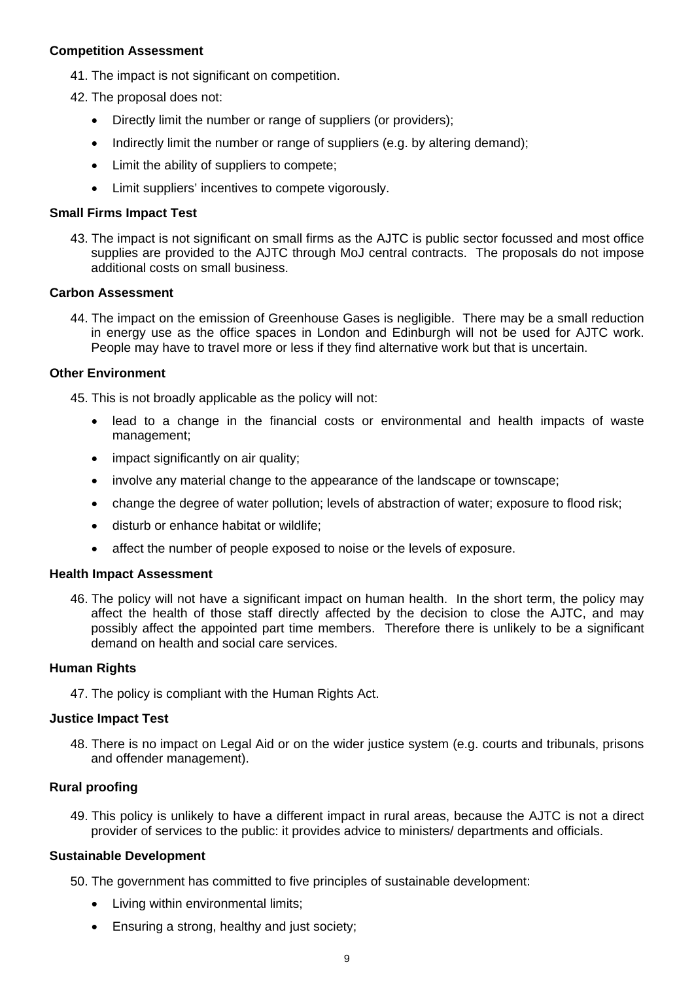#### **Competition Assessment**

- 41. The impact is not significant on competition.
- 42. The proposal does not:
	- Directly limit the number or range of suppliers (or providers);
	- Indirectly limit the number or range of suppliers (e.g. by altering demand):
	- Limit the ability of suppliers to compete;
	- Limit suppliers' incentives to compete vigorously.

#### **Small Firms Impact Test**

43. The impact is not significant on small firms as the AJTC is public sector focussed and most office supplies are provided to the AJTC through MoJ central contracts. The proposals do not impose additional costs on small business.

#### **Carbon Assessment**

44. The impact on the emission of Greenhouse Gases is negligible. There may be a small reduction in energy use as the office spaces in London and Edinburgh will not be used for AJTC work. People may have to travel more or less if they find alternative work but that is uncertain.

#### **Other Environment**

45. This is not broadly applicable as the policy will not:

- lead to a change in the financial costs or environmental and health impacts of waste management;
- impact significantly on air quality;
- involve any material change to the appearance of the landscape or townscape;
- change the degree of water pollution; levels of abstraction of water; exposure to flood risk;
- disturb or enhance habitat or wildlife;
- affect the number of people exposed to noise or the levels of exposure.

#### **Health Impact Assessment**

46. The policy will not have a significant impact on human health. In the short term, the policy may affect the health of those staff directly affected by the decision to close the AJTC, and may possibly affect the appointed part time members. Therefore there is unlikely to be a significant demand on health and social care services.

#### **Human Rights**

47. The policy is compliant with the Human Rights Act.

#### **Justice Impact Test**

48. There is no impact on Legal Aid or on the wider justice system (e.g. courts and tribunals, prisons and offender management).

#### **Rural proofing**

49. This policy is unlikely to have a different impact in rural areas, because the AJTC is not a direct provider of services to the public: it provides advice to ministers/ departments and officials.

#### **Sustainable Development**

50. The government has committed to five principles of sustainable development:

- Living within environmental limits;
- **Ensuring a strong, healthy and just society;**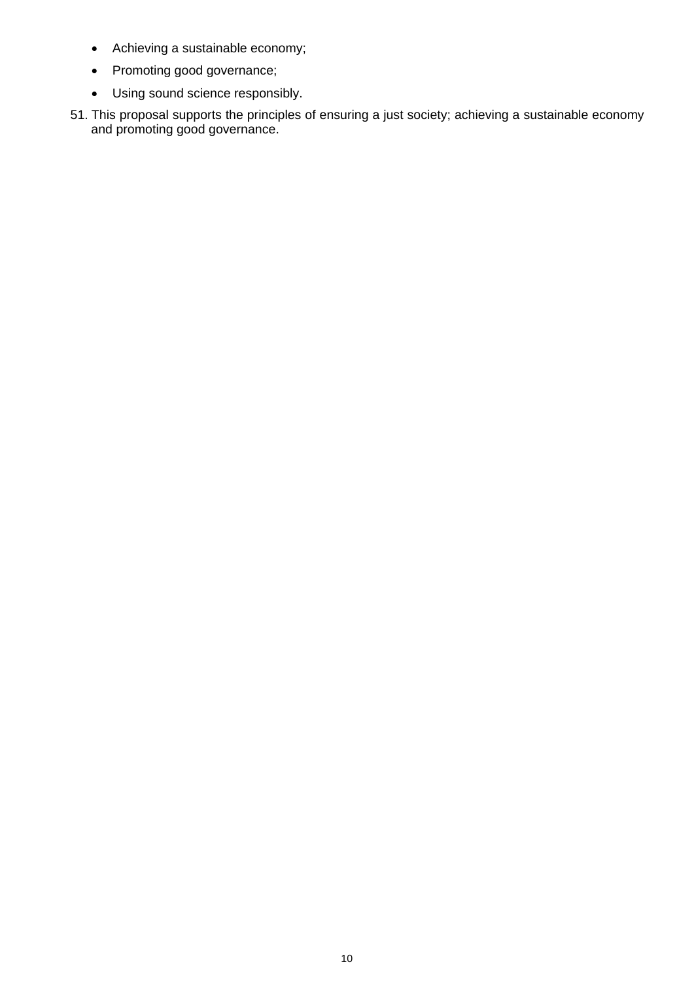- Achieving a sustainable economy;
- Promoting good governance;
- Using sound science responsibly.
- 51. This proposal supports the principles of ensuring a just society; achieving a sustainable economy and promoting good governance.